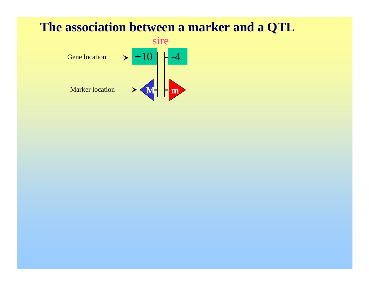#### **The association between a marker and a QTL**

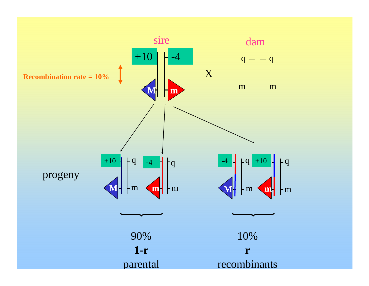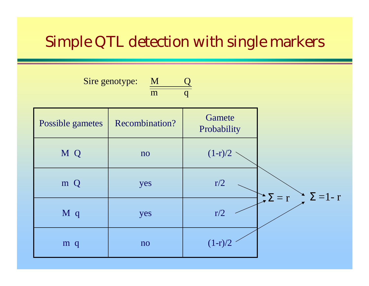## Simple QTL detection with single markers

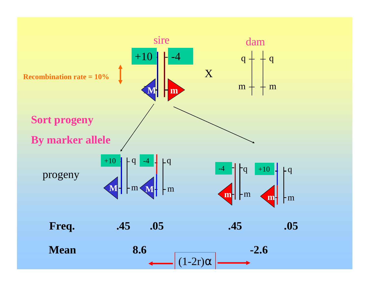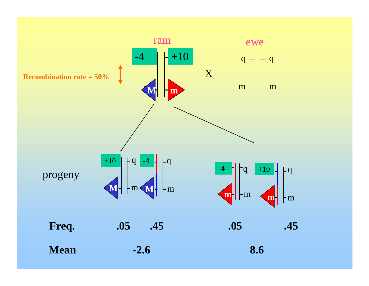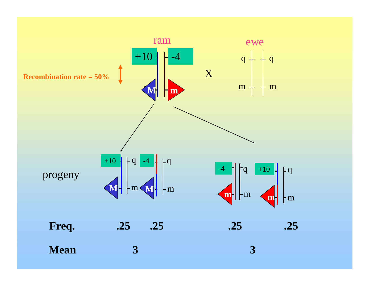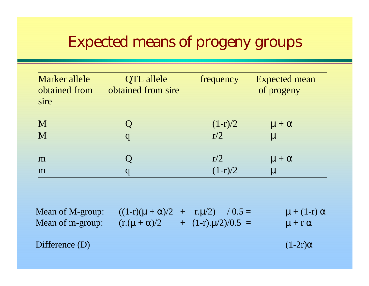## Expected means of progeny groups

| Marker allele<br>obtained from<br>sire | <b>QTL</b> allele<br>obtained from sire | frequency    | <b>Expected mean</b><br>of progeny |
|----------------------------------------|-----------------------------------------|--------------|------------------------------------|
| M                                      | q                                       | $(1-r)/2$    | $\mu + \alpha$                     |
| M                                      |                                         | $\sqrt{r/2}$ | $\mu$                              |
| m                                      |                                         | r/2          | $\mu + \alpha$                     |
| m                                      |                                         | $(1-r)/2$    | $\mu$                              |

Mean of M-group:  $((1-r)(\mu + \alpha)/2 + r \cdot \mu/2)$  /  $0.5 =$  $\mu$  + (1-r)  $\alpha$ Mean of m-group:  $(r.(\mu + \alpha)/2 + (1-r).\mu/2)/0.5 =$  $\mu$  + r  $\alpha$ 

Difference  $(D)$ 

 $(1-2r)\alpha$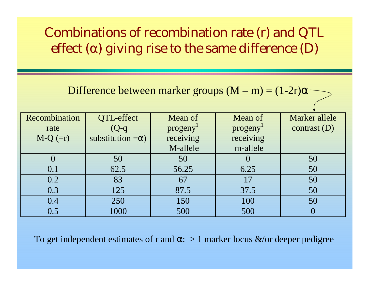### Combinations of recombination rate (r) and QTL effect ( $\alpha$ ) giving rise to the same difference (D)

Difference between marker groups  $(M - m) = (1-2r)\alpha$ 

| Recombination | QTL-effect               | Mean of   | Mean of   | Marker allele  |
|---------------|--------------------------|-----------|-----------|----------------|
| rate          | $(Q-q)$                  | progeny   | progeny   | contrast $(D)$ |
| $M-Q (=r)$    | substitution $=\alpha$ ) | receiving | receiving |                |
|               |                          | M-allele  | m-allele  |                |
|               | 50                       | 50        |           | 50             |
| 0.1           | 62.5                     | 56.25     | 6.25      | 50             |
| 0.2           | 83                       | 67        | 17        | 50             |
| 0.3           | 125                      | 87.5      | 37.5      | 50             |
| 0.4           | 250                      | 150       | 100       | 50             |
| 0.5           | 1000                     | 500       | 500       |                |

To get independent estimates of r and  $\alpha:~>1$  marker locus  $\&$ /or deeper pedigree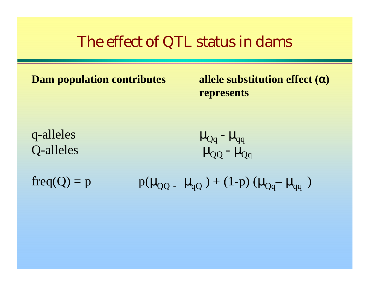## The effect of QTL status in dams

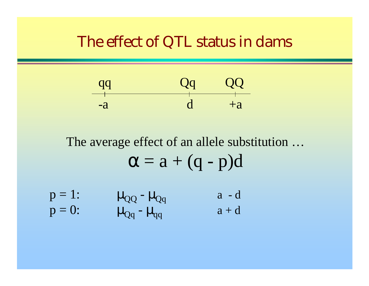### The effect of QTL status in dams



The average effect of an allele substitution …  $\alpha = a + (q - p)d$ 

| $p=1$ :   | $\mu_{QQ}$ - $\mu_{Qq}$               | $a - d$ |
|-----------|---------------------------------------|---------|
| $p = 0$ : | $\mu_{\text{Qq}}$ - $\mu_{\text{qq}}$ | $a + d$ |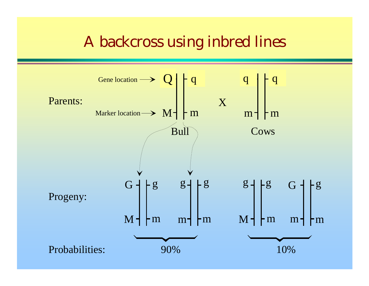## A backcross using inbred lines

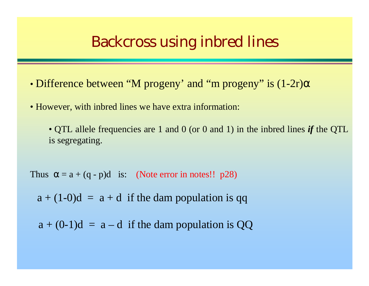### Backcross using inbred lines

- Difference between "M progeny' and "m progeny" is (1-2r)α
- However, with inbred lines we have extra information:
	- QTL allele frequencies are 1 and 0 (or 0 and 1) in the inbred lines *if* the QTL is segregating.

Thus  $\alpha = a + (q - p)d$  is: (Note error in notes!! p28)

 $a + (1-0)d = a + d$  if the dam population is qq

 $a + (0-1)d = a-d$  if the dam population is QQ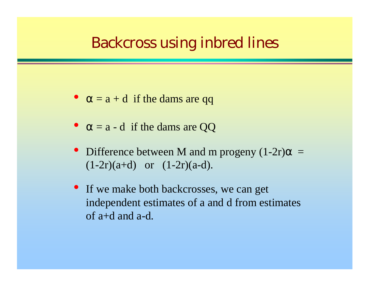## Backcross using inbred lines

- $\bullet$ •  $\alpha = a + d$  if the dams are qq
- $\bullet$  $\alpha = a - d$  if the dams are QQ
- Difference between M and m progeny  $(1-2r)\alpha =$  $(1-2r)(a+d)$  or  $(1-2r)(a-d)$ .
- If we make both backcrosses, we can get independent estimates of a and d from estimates of a+d and a-d.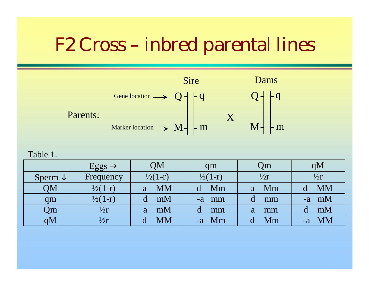

Table 1.

|                    | $Eggs \rightarrow$ | QM                 | qm                 | Qm            | qM                |
|--------------------|--------------------|--------------------|--------------------|---------------|-------------------|
| Sperm $\downarrow$ | Frequency          | $\frac{1}{2}(1-r)$ | $\frac{1}{2}(1-r)$ | $\frac{1}{2}$ | $\frac{1}{2}r$    |
| QM                 | $\frac{1}{2}(1-r)$ | <b>MM</b><br>a     | $-Mm$              | a Mm          | <b>MM</b>         |
| qm                 | $\frac{1}{2}(1-r)$ | mM                 | -a mm              | mm            | $-a$ mM           |
| Qm                 | $\frac{1}{2}r$     | mM<br>a            | mm                 | mm<br>a       | mM                |
| qМ                 | $\frac{1}{2}$ r    | MM                 | Mm                 | Mm            | <b>MM</b><br>$-a$ |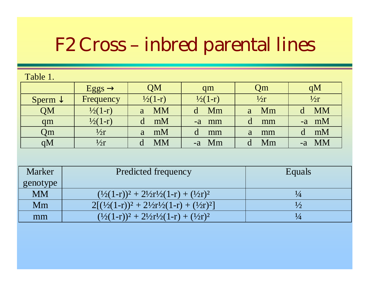| Table 1. |  |  |
|----------|--|--|
|          |  |  |

|                    | Eggs $\rightarrow$ | QM                 | qm                 | <b>Qm</b> | qM        |
|--------------------|--------------------|--------------------|--------------------|-----------|-----------|
| Sperm $\downarrow$ | Frequency          | $\frac{1}{2}(1-r)$ | $\frac{1}{2}(1-r)$ | 1/2r      | 1/2r      |
| QM                 | $\frac{1}{2}(1-r)$ | <b>MM</b><br>a     | Mm                 | a Mm      | <b>MM</b> |
| qm                 | $\frac{1}{2}(1-r)$ | mM                 | $-a$ mm            | mm        | $-a$ mM   |
| Qm                 | $\frac{1}{2}$      | mM<br>a            | mm                 | mm<br>a   | mM        |
| qM                 | $\frac{1}{2}$ r    | <b>MM</b>          | $-a$ Mm            | Mm        | -a MM     |

| <b>Marker</b> | Predicted frequency                                                 | Equals        |
|---------------|---------------------------------------------------------------------|---------------|
| genotype      |                                                                     |               |
| <b>MM</b>     | $(1/2(1-r))^2 + 21/2r^2(1-r) + (1/2r)^2$                            | $\frac{1}{4}$ |
| Mm            | $2[(1/2(1-r))^{2} + 2\frac{1}{2}r^{1/2}(1-r) + (\frac{1}{2}r)^{2}]$ | $\frac{1}{2}$ |
| mm            | $(1/2(1-r))^2 + 21/2r^2(1-r) + (1/2r)^2$                            | $\frac{1}{4}$ |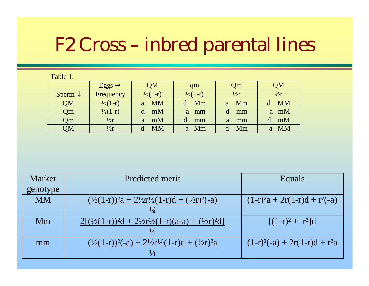| Table 1. |  |
|----------|--|
|          |  |

|                    | $Eggs \rightarrow$ | QM                 | qm                 | Qm            | QM            |
|--------------------|--------------------|--------------------|--------------------|---------------|---------------|
| Sperm $\downarrow$ | Frequency          | $\frac{1}{2}(1-r)$ | $\frac{1}{2}(1-r)$ | $\frac{1}{2}$ | $\frac{1}{2}$ |
| QM                 | $\frac{1}{2}(1-r)$ | <b>MM</b><br>a     | Mm                 | Mm<br>a       | <b>MM</b>     |
| Qm                 | $\frac{1}{2}(1-r)$ | mM<br>d            | -a mm              | mm            | $-a$ mM       |
| Qm                 | $\frac{1}{2}$      | mM<br>a            | mm                 | mm<br>a       | mM            |
| QM                 | $\frac{1}{2}$ r    | <b>MM</b>          | -a Mm              | Mm            | $-a$ MM       |

| <b>Marker</b> | Predicted merit                                                            | Equals                              |
|---------------|----------------------------------------------------------------------------|-------------------------------------|
| genotype      |                                                                            |                                     |
| <b>MM</b>     | $(\frac{1}{2}(1-r))^2a + \frac{21}{2}r^2(1-r)d + \frac{(1}{2}r)^2(-a)$     | $(1-r)^2a + 2r(1-r)d + r^2(-a)$     |
|               | $\frac{1}{4}$                                                              |                                     |
| Mm            | $2[(1/2(1-r))^{2}d + 2\frac{1}{2}r^{1/2}(1-r)(a-a) + (\frac{1}{2}r)^{2}d]$ | $[(1-r)^2 + r^2]d$                  |
|               | $\frac{1}{2}$                                                              |                                     |
| mm            | $(\frac{1}{2}(1-r))^2(-a) + \frac{21}{2}r^2(1-r)d + (\frac{1}{2}r)^2a$     | $(1-r)^{2}(-a) + 2r(1-r)d + r^{2}a$ |
|               | $\frac{1}{4}$                                                              |                                     |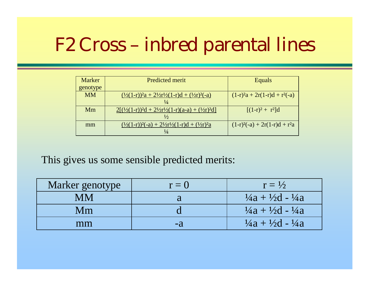| <b>Marker</b> | <b>Predicted merit</b>                                                                                              | Equals                              |
|---------------|---------------------------------------------------------------------------------------------------------------------|-------------------------------------|
| genotype      |                                                                                                                     |                                     |
| <b>MM</b>     | $\frac{(1/2(1-r))^2a + 2\frac{1}{2r}\left(1-r\right)d + (\frac{1}{2r})^2(-a)}{2\left(1-r\right)\left(1-r\right)^2}$ | $(1-r)^2a + 2r(1-r)d + r^2(-a)$     |
|               | $\frac{1}{4}$                                                                                                       |                                     |
| Mm            | $2[(1/2(1-r))^2d + 21/2r^2/(1-r)(a-a) + (1/2r)^2d]$                                                                 | $[(1-r)^{2} + r^{2}]d$              |
|               | $\frac{1}{2}$                                                                                                       |                                     |
| mm            | $(\frac{1}{2}(1-r))^2(-a) + \frac{21}{2}r^2(1-r)d + \frac{1}{2}r^2a$                                                | $(1-r)^{2}(-a) + 2r(1-r)d + r^{2}a$ |
|               | $\frac{1}{4}$                                                                                                       |                                     |

This gives us some sensible predicted merits:

| Marker genotype | $r=0$ | $r = \frac{1}{2}$                            |
|-----------------|-------|----------------------------------------------|
| MM              |       | $\frac{1}{4}a + \frac{1}{2}d - \frac{1}{4}a$ |
| Mm              |       | $\frac{1}{4}a + \frac{1}{2}d - \frac{1}{4}a$ |
| mm              | -2    | $\frac{1}{4}a + \frac{1}{2}d - \frac{1}{4}a$ |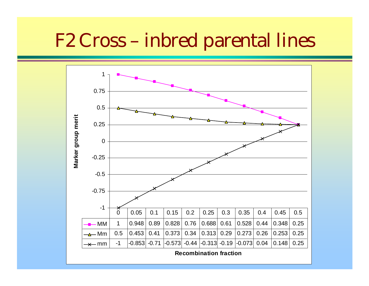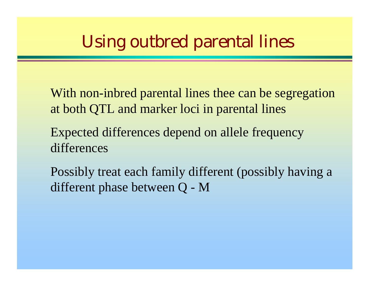## Using outbred parental lines

- With non-inbred parental lines thee can be segregation at both QTL and marker loci in parental lines
- Expected differences depend on allele frequency differences
- Possibly treat each family different (possibly having a different phase between Q - M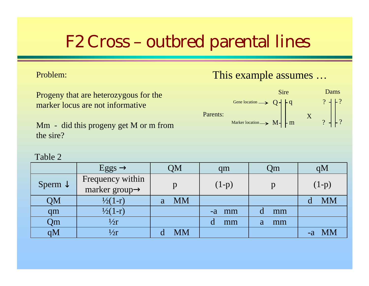#### Problem:

Progeny that are heterozygous for the marker locus are not informative

Mm - did this progeny get M or m from the sire?

#### This example assumes …



|                    | Eggs $\rightarrow$                             | QM        | qm      | Qm      | qM        |
|--------------------|------------------------------------------------|-----------|---------|---------|-----------|
| Sperm $\downarrow$ | Frequency within<br>marker group $\rightarrow$ |           | $(1-p)$ |         | $(1-p)$   |
| QM                 | $\frac{1}{2}(1-r)$                             | <b>MM</b> |         |         | <b>MM</b> |
| qm                 | $\frac{1}{2}(1-r)$                             |           | -a mm   | mm      |           |
| Qm                 | 1/2r                                           |           | mm      | mm<br>a |           |
| qM                 | $\frac{1}{2}$                                  | MM        |         |         | $-a$ MM   |

#### Table 2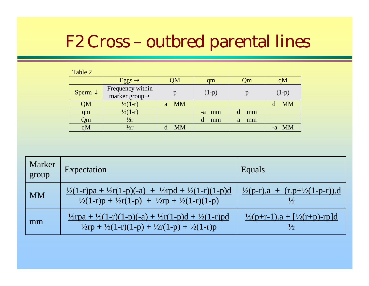Table 2

|                    | $Eggs \rightarrow$                             | QM             | qm      | Qm      | qM        |
|--------------------|------------------------------------------------|----------------|---------|---------|-----------|
| Sperm $\downarrow$ | Frequency within<br>marker group $\rightarrow$ | р              | $(1-p)$ | p       | $(1-p)$   |
| QM                 | $\frac{1}{2}(1-r)$                             | <b>MM</b><br>a |         |         | <b>MM</b> |
| qm                 | $\frac{1}{2}(1-r)$                             |                | $-a$ mm | mm<br>d |           |
| Qm                 | $\frac{1}{2}$                                  |                | d<br>mm | mm<br>a |           |
| qM                 | $\frac{1}{2}$                                  | <b>MM</b>      |         |         | -a MM     |

| Marker<br>group | Expectation                                                                                                                                                                     | Equals                                            |
|-----------------|---------------------------------------------------------------------------------------------------------------------------------------------------------------------------------|---------------------------------------------------|
| <b>MM</b>       | $\frac{1}{2}(1-r)p a + \frac{1}{2}r(1-p)(-a) + \frac{1}{2}r p d + \frac{1}{2}(1-r)(1-p)d$<br>$\frac{1}{2}(1-r)p + \frac{1}{2}r(1-p) + \frac{1}{2}rp + \frac{1}{2}(1-r)(1-p)$    | $\frac{1}{2}(p-r).a + (r.p+\frac{1}{2}(1-p-r)).d$ |
| mm              | $\frac{1}{2}$ rpa + $\frac{1}{2}(1-r)(1-p)(-a) + \frac{1}{2}r(1-p)d + \frac{1}{2}(1-r)pd$<br>$\frac{1}{2}$ rp + $\frac{1}{2}(1-r)(1-p) + \frac{1}{2}r(1-p) + \frac{1}{2}(1-r)p$ | $\frac{1}{2}(p+r-1)a + \frac{1}{2}(r+p)-rp]d$     |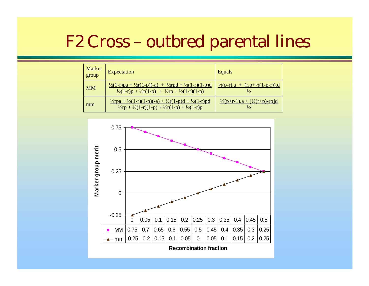| <b>Marker</b><br>group | Expectation                                                                                                                                                                     | Equals                                                                |
|------------------------|---------------------------------------------------------------------------------------------------------------------------------------------------------------------------------|-----------------------------------------------------------------------|
| <b>MM</b>              | $\frac{1}{2}(1-r)p a + \frac{1}{2}r(1-p)(-a) + \frac{1}{2}r p d + \frac{1}{2}(1-r)(1-p)d$<br>$\frac{1}{2}(1-r)p + \frac{1}{2}r(1-p) + \frac{1}{2}rp + \frac{1}{2}(1-r)(1-p)$    | $\frac{1}{2}(p-r) \cdot a + (r \cdot p + \frac{1}{2}(1-p-r)) \cdot d$ |
| mm                     | $\frac{1}{2}$ rpa + $\frac{1}{2}(1-r)(1-p)(-a) + \frac{1}{2}r(1-p)d + \frac{1}{2}(1-r)pd$<br>$\frac{1}{2}$ rp + $\frac{1}{2}(1-r)(1-p) + \frac{1}{2}r(1-p) + \frac{1}{2}(1-r)p$ | $\frac{1}{2}(p+r-1)$ .a + $[\frac{1}{2}(r+p)-rp]d$<br>⅓               |

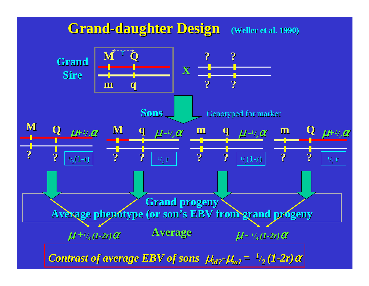#### **Grand-daughter Design** (Weller et al. 1990)

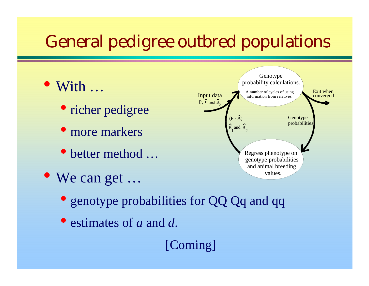# General pedigree outbred populations

- With …
	- richer pedigree
	- more markers
	- $\bullet$ better method …
- We can get …



- genotype probabilities for QQ Qq and qq
- estimates of *a* and *d*.

[Coming]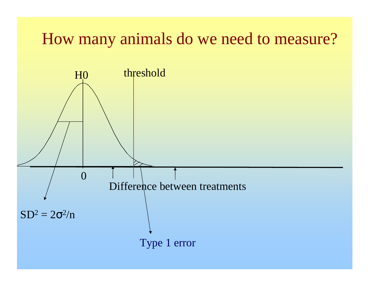## How many animals do we need to measure?

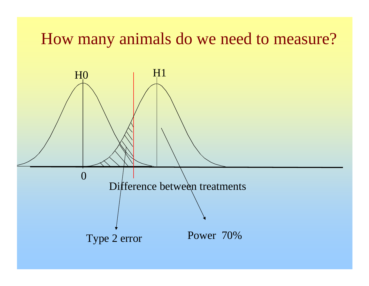## How many animals do we need to measure?

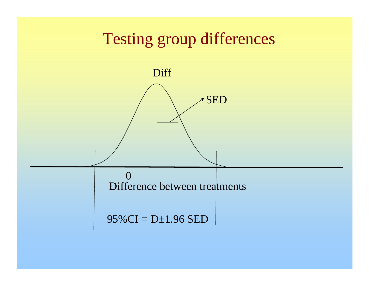## Testing group differences

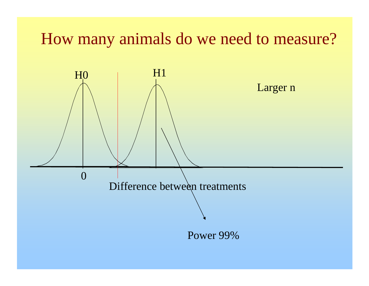## How many animals do we need to measure?